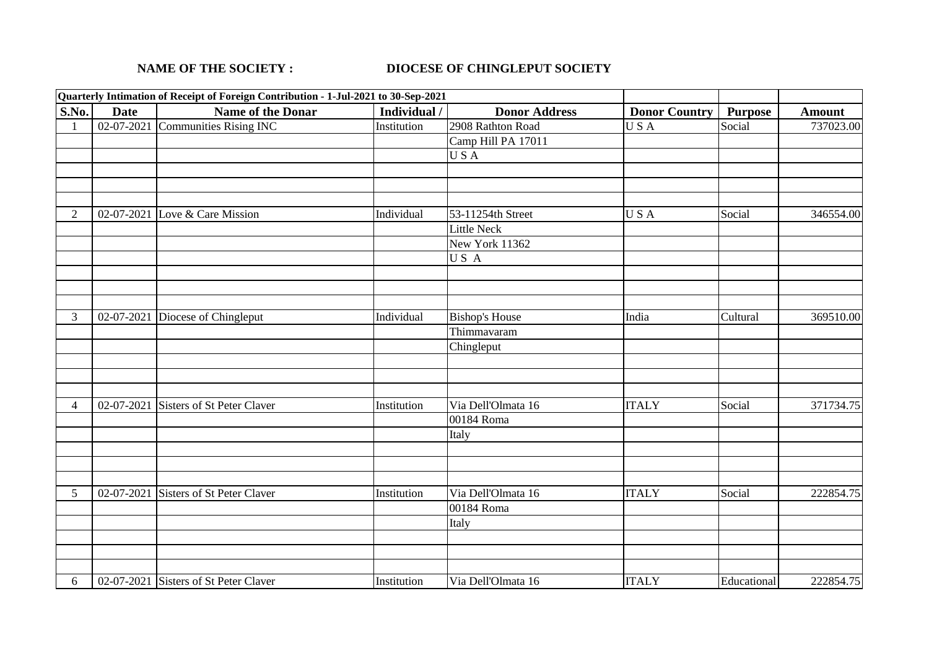## **NAME OF THE SOCIETY : DIOCESE OF CHINGLEPUT SOCIETY**

|                |             | Quarterly Intimation of Receipt of Foreign Contribution - 1-Jul-2021 to 30-Sep-2021 |             |                       |                      |                |               |
|----------------|-------------|-------------------------------------------------------------------------------------|-------------|-----------------------|----------------------|----------------|---------------|
| S.No.          | <b>Date</b> | Name of the Donar                                                                   | Individual  | <b>Donor Address</b>  | <b>Donor Country</b> | <b>Purpose</b> | <b>Amount</b> |
|                |             | 02-07-2021 Communities Rising INC                                                   | Institution | 2908 Rathton Road     | USA                  | Social         | 737023.00     |
|                |             |                                                                                     |             | Camp Hill PA 17011    |                      |                |               |
|                |             |                                                                                     |             | USA                   |                      |                |               |
|                |             |                                                                                     |             |                       |                      |                |               |
|                |             |                                                                                     |             |                       |                      |                |               |
|                |             |                                                                                     |             |                       |                      |                |               |
| $\overline{2}$ |             | 02-07-2021 Love & Care Mission                                                      | Individual  | 53-11254th Street     | USA                  | Social         | 346554.00     |
|                |             |                                                                                     |             | <b>Little Neck</b>    |                      |                |               |
|                |             |                                                                                     |             | New York 11362        |                      |                |               |
|                |             |                                                                                     |             | US A                  |                      |                |               |
|                |             |                                                                                     |             |                       |                      |                |               |
|                |             |                                                                                     |             |                       |                      |                |               |
|                |             |                                                                                     |             |                       |                      |                |               |
| 3              | 02-07-2021  | Diocese of Chingleput                                                               | Individual  | <b>Bishop's House</b> | India                | Cultural       | 369510.00     |
|                |             |                                                                                     |             | Thimmavaram           |                      |                |               |
|                |             |                                                                                     |             | Chingleput            |                      |                |               |
|                |             |                                                                                     |             |                       |                      |                |               |
|                |             |                                                                                     |             |                       |                      |                |               |
|                |             |                                                                                     |             |                       |                      |                |               |
| $\overline{4}$ |             | 02-07-2021 Sisters of St Peter Claver                                               | Institution | Via Dell'Olmata 16    | <b>ITALY</b>         | Social         | 371734.75     |
|                |             |                                                                                     |             | 00184 Roma            |                      |                |               |
|                |             |                                                                                     |             | Italy                 |                      |                |               |
|                |             |                                                                                     |             |                       |                      |                |               |
|                |             |                                                                                     |             |                       |                      |                |               |
|                |             |                                                                                     |             |                       |                      |                |               |
| 5              | 02-07-2021  | <b>Sisters of St Peter Claver</b>                                                   | Institution | Via Dell'Olmata 16    | <b>ITALY</b>         | Social         | 222854.75     |
|                |             |                                                                                     |             | 00184 Roma            |                      |                |               |
|                |             |                                                                                     |             | Italy                 |                      |                |               |
|                |             |                                                                                     |             |                       |                      |                |               |
|                |             |                                                                                     |             |                       |                      |                |               |
| 6              |             | 02-07-2021 Sisters of St Peter Claver                                               | Institution | Via Dell'Olmata 16    | <b>ITALY</b>         | Educational    | 222854.75     |
|                |             |                                                                                     |             |                       |                      |                |               |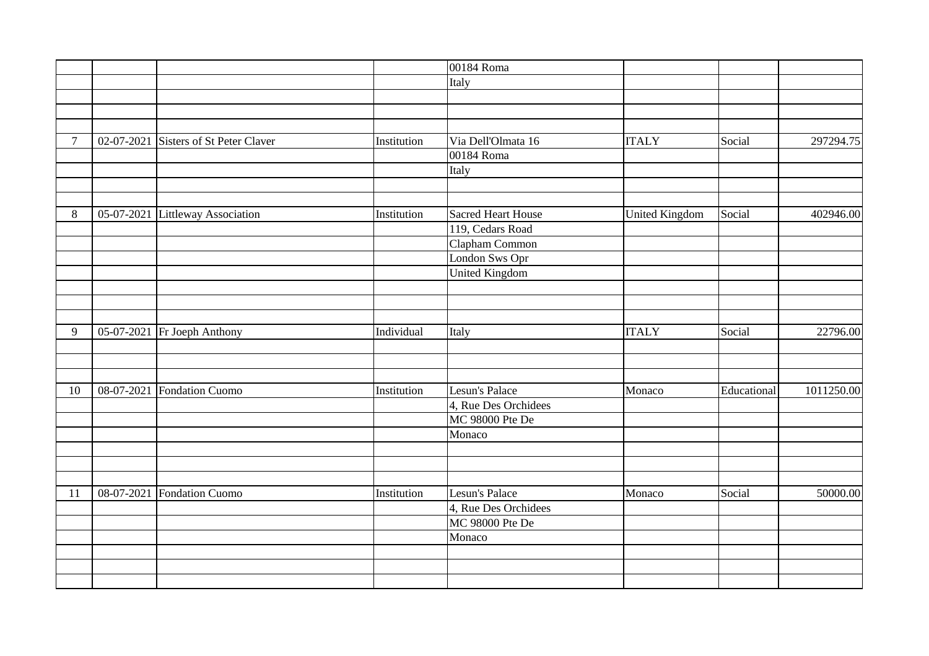|                |                                       |             | 00184 Roma                |                       |             |            |
|----------------|---------------------------------------|-------------|---------------------------|-----------------------|-------------|------------|
|                |                                       |             | Italy                     |                       |             |            |
|                |                                       |             |                           |                       |             |            |
|                |                                       |             |                           |                       |             |            |
|                |                                       |             |                           |                       |             |            |
| $\overline{7}$ | 02-07-2021 Sisters of St Peter Claver | Institution | Via Dell'Olmata 16        | <b>ITALY</b>          | Social      | 297294.75  |
|                |                                       |             | 00184 Roma                |                       |             |            |
|                |                                       |             | Italy                     |                       |             |            |
|                |                                       |             |                           |                       |             |            |
|                |                                       |             |                           |                       |             |            |
| $8\,$          | 05-07-2021 Littleway Association      | Institution | <b>Sacred Heart House</b> | <b>United Kingdom</b> | Social      | 402946.00  |
|                |                                       |             | 119, Cedars Road          |                       |             |            |
|                |                                       |             | Clapham Common            |                       |             |            |
|                |                                       |             | London Sws Opr            |                       |             |            |
|                |                                       |             | <b>United Kingdom</b>     |                       |             |            |
|                |                                       |             |                           |                       |             |            |
|                |                                       |             |                           |                       |             |            |
|                |                                       |             |                           |                       |             |            |
| 9              | 05-07-2021 Fr Joeph Anthony           | Individual  | Italy                     | <b>ITALY</b>          | Social      | 22796.00   |
|                |                                       |             |                           |                       |             |            |
|                |                                       |             |                           |                       |             |            |
|                |                                       |             |                           |                       |             |            |
| 10             | 08-07-2021 Fondation Cuomo            | Institution | Lesun's Palace            | Monaco                | Educational | 1011250.00 |
|                |                                       |             | 4, Rue Des Orchidees      |                       |             |            |
|                |                                       |             | <b>MC 98000 Pte De</b>    |                       |             |            |
|                |                                       |             | Monaco                    |                       |             |            |
|                |                                       |             |                           |                       |             |            |
|                |                                       |             |                           |                       |             |            |
|                |                                       |             |                           |                       |             |            |
| 11             | 08-07-2021 Fondation Cuomo            | Institution | Lesun's Palace            | Monaco                | Social      | 50000.00   |
|                |                                       |             | 4, Rue Des Orchidees      |                       |             |            |
|                |                                       |             | MC 98000 Pte De           |                       |             |            |
|                |                                       |             | Monaco                    |                       |             |            |
|                |                                       |             |                           |                       |             |            |
|                |                                       |             |                           |                       |             |            |
|                |                                       |             |                           |                       |             |            |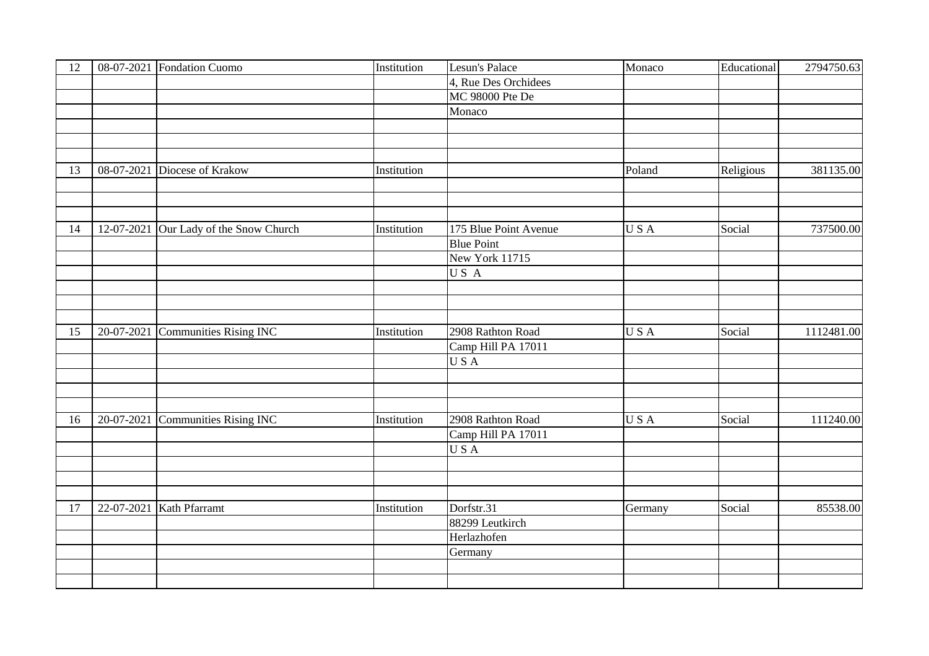| 12 |            | 08-07-2021 Fondation Cuomo        | Institution | Lesun's Palace        | Monaco     | Educational | 2794750.63 |
|----|------------|-----------------------------------|-------------|-----------------------|------------|-------------|------------|
|    |            |                                   |             | 4, Rue Des Orchidees  |            |             |            |
|    |            |                                   |             | MC 98000 Pte De       |            |             |            |
|    |            |                                   |             | Monaco                |            |             |            |
|    |            |                                   |             |                       |            |             |            |
|    |            |                                   |             |                       |            |             |            |
|    |            |                                   |             |                       |            |             |            |
| 13 |            | 08-07-2021 Diocese of Krakow      | Institution |                       | Poland     | Religious   | 381135.00  |
|    |            |                                   |             |                       |            |             |            |
|    |            |                                   |             |                       |            |             |            |
|    |            |                                   |             |                       |            |             |            |
| 14 | 12-07-2021 | Our Lady of the Snow Church       | Institution | 175 Blue Point Avenue | USA        | Social      | 737500.00  |
|    |            |                                   |             | <b>Blue Point</b>     |            |             |            |
|    |            |                                   |             | New York 11715        |            |             |            |
|    |            |                                   |             | US A                  |            |             |            |
|    |            |                                   |             |                       |            |             |            |
|    |            |                                   |             |                       |            |             |            |
|    |            |                                   |             |                       |            |             |            |
| 15 |            | 20-07-2021 Communities Rising INC | Institution | 2908 Rathton Road     | USA        | Social      | 1112481.00 |
|    |            |                                   |             | Camp Hill PA 17011    |            |             |            |
|    |            |                                   |             | <b>USA</b>            |            |             |            |
|    |            |                                   |             |                       |            |             |            |
|    |            |                                   |             |                       |            |             |            |
|    |            |                                   |             |                       |            |             |            |
| 16 | 20-07-2021 | <b>Communities Rising INC</b>     | Institution | 2908 Rathton Road     | <b>USA</b> | Social      | 111240.00  |
|    |            |                                   |             | Camp Hill PA 17011    |            |             |            |
|    |            |                                   |             | USA                   |            |             |            |
|    |            |                                   |             |                       |            |             |            |
|    |            |                                   |             |                       |            |             |            |
|    |            |                                   |             |                       |            |             |            |
| 17 | 22-07-2021 | Kath Pfarramt                     | Institution | Dorfstr.31            | Germany    | Social      | 85538.00   |
|    |            |                                   |             | 88299 Leutkirch       |            |             |            |
|    |            |                                   |             | Herlazhofen           |            |             |            |
|    |            |                                   |             | Germany               |            |             |            |
|    |            |                                   |             |                       |            |             |            |
|    |            |                                   |             |                       |            |             |            |
|    |            |                                   |             |                       |            |             |            |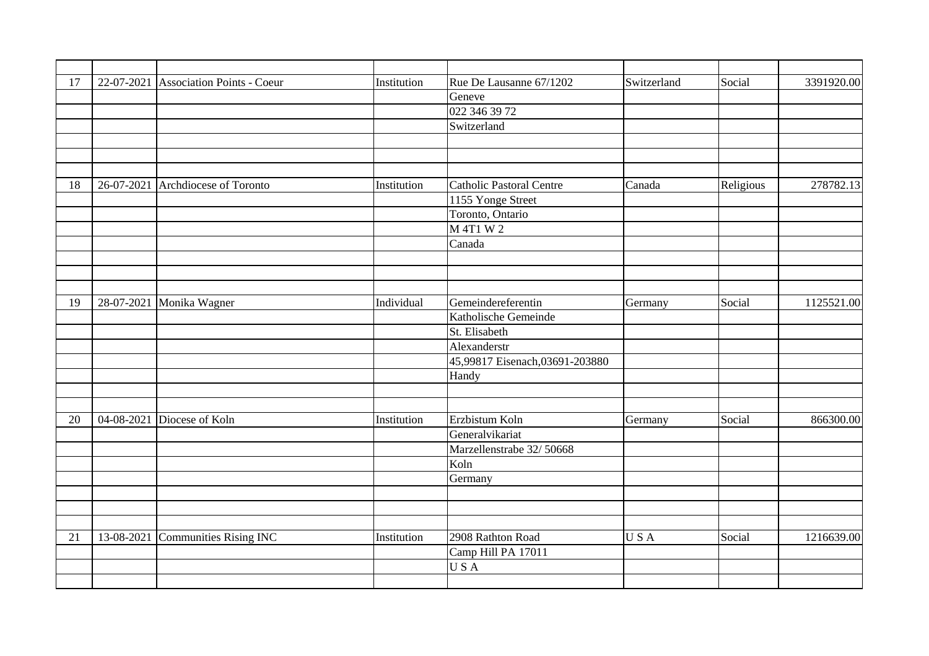| 17 |            | 22-07-2021 Association Points - Coeur | Institution | Rue De Lausanne 67/1202         | Switzerland | Social    | 3391920.00 |
|----|------------|---------------------------------------|-------------|---------------------------------|-------------|-----------|------------|
|    |            |                                       |             | Geneve                          |             |           |            |
|    |            |                                       |             | 022 346 39 72                   |             |           |            |
|    |            |                                       |             | Switzerland                     |             |           |            |
|    |            |                                       |             |                                 |             |           |            |
|    |            |                                       |             |                                 |             |           |            |
|    |            |                                       |             |                                 |             |           |            |
| 18 |            | 26-07-2021 Archdiocese of Toronto     | Institution | <b>Catholic Pastoral Centre</b> | Canada      | Religious | 278782.13  |
|    |            |                                       |             | 1155 Yonge Street               |             |           |            |
|    |            |                                       |             | Toronto, Ontario                |             |           |            |
|    |            |                                       |             | M 4T1 W 2                       |             |           |            |
|    |            |                                       |             | Canada                          |             |           |            |
|    |            |                                       |             |                                 |             |           |            |
|    |            |                                       |             |                                 |             |           |            |
|    |            |                                       |             |                                 |             |           |            |
| 19 | 28-07-2021 | Monika Wagner                         | Individual  | Gemeindereferentin              | Germany     | Social    | 1125521.00 |
|    |            |                                       |             | Katholische Gemeinde            |             |           |            |
|    |            |                                       |             | St. Elisabeth                   |             |           |            |
|    |            |                                       |             | Alexanderstr                    |             |           |            |
|    |            |                                       |             | 45,99817 Eisenach,03691-203880  |             |           |            |
|    |            |                                       |             | Handy                           |             |           |            |
|    |            |                                       |             |                                 |             |           |            |
|    |            |                                       |             |                                 |             |           |            |
| 20 | 04-08-2021 | Diocese of Koln                       | Institution | Erzbistum Koln                  | Germany     | Social    | 866300.00  |
|    |            |                                       |             | Generalvikariat                 |             |           |            |
|    |            |                                       |             | Marzellenstrabe 32/50668        |             |           |            |
|    |            |                                       |             | Koln                            |             |           |            |
|    |            |                                       |             | Germany                         |             |           |            |
|    |            |                                       |             |                                 |             |           |            |
|    |            |                                       |             |                                 |             |           |            |
|    |            |                                       |             |                                 |             |           |            |
| 21 | 13-08-2021 | Communities Rising INC                | Institution | 2908 Rathton Road               | USA         | Social    | 1216639.00 |
|    |            |                                       |             | Camp Hill PA 17011              |             |           |            |
|    |            |                                       |             | USA                             |             |           |            |
|    |            |                                       |             |                                 |             |           |            |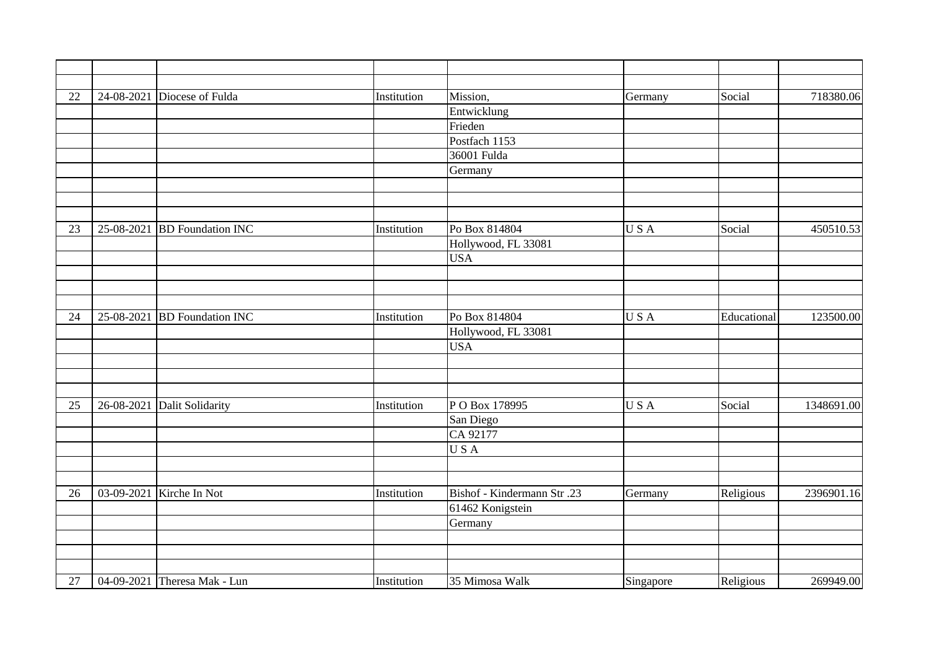| 22 |            | 24-08-2021 Diocese of Fulda  | Institution | Mission,                   | Germany   | Social      | 718380.06  |
|----|------------|------------------------------|-------------|----------------------------|-----------|-------------|------------|
|    |            |                              |             | Entwicklung                |           |             |            |
|    |            |                              |             | Frieden                    |           |             |            |
|    |            |                              |             | Postfach 1153              |           |             |            |
|    |            |                              |             | 36001 Fulda                |           |             |            |
|    |            |                              |             | Germany                    |           |             |            |
|    |            |                              |             |                            |           |             |            |
|    |            |                              |             |                            |           |             |            |
|    |            |                              |             |                            |           |             |            |
| 23 | 25-08-2021 | <b>BD</b> Foundation INC     | Institution | Po Box 814804              | USA       | Social      | 450510.53  |
|    |            |                              |             | Hollywood, FL 33081        |           |             |            |
|    |            |                              |             | <b>USA</b>                 |           |             |            |
|    |            |                              |             |                            |           |             |            |
|    |            |                              |             |                            |           |             |            |
|    |            |                              |             |                            |           |             |            |
| 24 |            | 25-08-2021 BD Foundation INC | Institution | Po Box 814804              | USA       | Educational | 123500.00  |
|    |            |                              |             | Hollywood, FL 33081        |           |             |            |
|    |            |                              |             | <b>USA</b>                 |           |             |            |
|    |            |                              |             |                            |           |             |            |
|    |            |                              |             |                            |           |             |            |
|    |            |                              |             |                            |           |             |            |
| 25 |            | 26-08-2021 Dalit Solidarity  | Institution | PO Box 178995              | USA       | Social      | 1348691.00 |
|    |            |                              |             | San Diego                  |           |             |            |
|    |            |                              |             | CA 92177                   |           |             |            |
|    |            |                              |             | USA                        |           |             |            |
|    |            |                              |             |                            |           |             |            |
|    |            |                              |             |                            |           |             |            |
| 26 |            | 03-09-2021 Kirche In Not     | Institution | Bishof - Kindermann Str.23 | Germany   | Religious   | 2396901.16 |
|    |            |                              |             | 61462 Konigstein           |           |             |            |
|    |            |                              |             | Germany                    |           |             |            |
|    |            |                              |             |                            |           |             |            |
|    |            |                              |             |                            |           |             |            |
|    |            |                              |             |                            |           |             |            |
| 27 |            | 04-09-2021 Theresa Mak - Lun | Institution | 35 Mimosa Walk             | Singapore | Religious   | 269949.00  |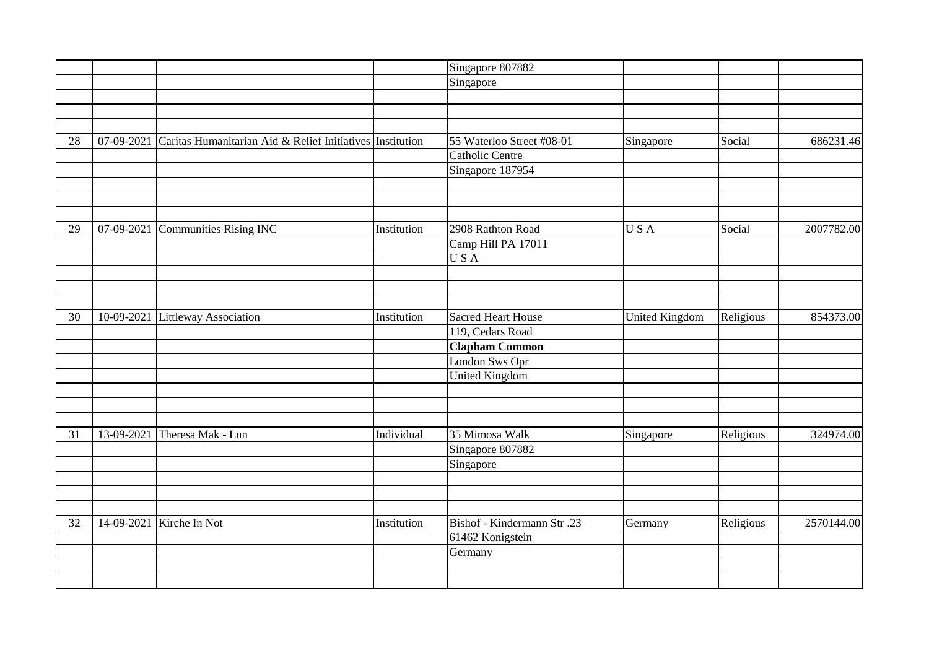| Singapore<br>Social<br>07-09-2021<br>Caritas Humanitarian Aid & Relief Initiatives Institution<br>55 Waterloo Street #08-01<br>28<br>Singapore<br><b>Catholic Centre</b><br>Singapore 187954<br>07-09-2021<br><b>Communities Rising INC</b><br>2908 Rathton Road<br>USA<br>Social<br>Institution<br>29<br>Camp Hill PA 17011<br>USA<br><b>Sacred Heart House</b><br>10-09-2021<br><b>Littleway Association</b><br>Institution<br><b>United Kingdom</b><br>Religious<br>30<br>119, Cedars Road<br><b>Clapham Common</b><br>London Sws Opr<br><b>United Kingdom</b><br>35 Mimosa Walk<br>13-09-2021<br>Theresa Mak - Lun<br>Individual<br>Religious<br>31<br>Singapore |  |  | Singapore 807882 |  |            |
|----------------------------------------------------------------------------------------------------------------------------------------------------------------------------------------------------------------------------------------------------------------------------------------------------------------------------------------------------------------------------------------------------------------------------------------------------------------------------------------------------------------------------------------------------------------------------------------------------------------------------------------------------------------------|--|--|------------------|--|------------|
|                                                                                                                                                                                                                                                                                                                                                                                                                                                                                                                                                                                                                                                                      |  |  |                  |  |            |
|                                                                                                                                                                                                                                                                                                                                                                                                                                                                                                                                                                                                                                                                      |  |  |                  |  |            |
|                                                                                                                                                                                                                                                                                                                                                                                                                                                                                                                                                                                                                                                                      |  |  |                  |  |            |
|                                                                                                                                                                                                                                                                                                                                                                                                                                                                                                                                                                                                                                                                      |  |  |                  |  |            |
|                                                                                                                                                                                                                                                                                                                                                                                                                                                                                                                                                                                                                                                                      |  |  |                  |  | 686231.46  |
|                                                                                                                                                                                                                                                                                                                                                                                                                                                                                                                                                                                                                                                                      |  |  |                  |  |            |
|                                                                                                                                                                                                                                                                                                                                                                                                                                                                                                                                                                                                                                                                      |  |  |                  |  |            |
|                                                                                                                                                                                                                                                                                                                                                                                                                                                                                                                                                                                                                                                                      |  |  |                  |  |            |
|                                                                                                                                                                                                                                                                                                                                                                                                                                                                                                                                                                                                                                                                      |  |  |                  |  |            |
|                                                                                                                                                                                                                                                                                                                                                                                                                                                                                                                                                                                                                                                                      |  |  |                  |  |            |
|                                                                                                                                                                                                                                                                                                                                                                                                                                                                                                                                                                                                                                                                      |  |  |                  |  | 2007782.00 |
|                                                                                                                                                                                                                                                                                                                                                                                                                                                                                                                                                                                                                                                                      |  |  |                  |  |            |
|                                                                                                                                                                                                                                                                                                                                                                                                                                                                                                                                                                                                                                                                      |  |  |                  |  |            |
|                                                                                                                                                                                                                                                                                                                                                                                                                                                                                                                                                                                                                                                                      |  |  |                  |  |            |
|                                                                                                                                                                                                                                                                                                                                                                                                                                                                                                                                                                                                                                                                      |  |  |                  |  |            |
|                                                                                                                                                                                                                                                                                                                                                                                                                                                                                                                                                                                                                                                                      |  |  |                  |  |            |
|                                                                                                                                                                                                                                                                                                                                                                                                                                                                                                                                                                                                                                                                      |  |  |                  |  | 854373.00  |
|                                                                                                                                                                                                                                                                                                                                                                                                                                                                                                                                                                                                                                                                      |  |  |                  |  |            |
|                                                                                                                                                                                                                                                                                                                                                                                                                                                                                                                                                                                                                                                                      |  |  |                  |  |            |
|                                                                                                                                                                                                                                                                                                                                                                                                                                                                                                                                                                                                                                                                      |  |  |                  |  |            |
|                                                                                                                                                                                                                                                                                                                                                                                                                                                                                                                                                                                                                                                                      |  |  |                  |  |            |
|                                                                                                                                                                                                                                                                                                                                                                                                                                                                                                                                                                                                                                                                      |  |  |                  |  |            |
|                                                                                                                                                                                                                                                                                                                                                                                                                                                                                                                                                                                                                                                                      |  |  |                  |  |            |
|                                                                                                                                                                                                                                                                                                                                                                                                                                                                                                                                                                                                                                                                      |  |  |                  |  |            |
|                                                                                                                                                                                                                                                                                                                                                                                                                                                                                                                                                                                                                                                                      |  |  |                  |  | 324974.00  |
|                                                                                                                                                                                                                                                                                                                                                                                                                                                                                                                                                                                                                                                                      |  |  | Singapore 807882 |  |            |
| Singapore                                                                                                                                                                                                                                                                                                                                                                                                                                                                                                                                                                                                                                                            |  |  |                  |  |            |
|                                                                                                                                                                                                                                                                                                                                                                                                                                                                                                                                                                                                                                                                      |  |  |                  |  |            |
|                                                                                                                                                                                                                                                                                                                                                                                                                                                                                                                                                                                                                                                                      |  |  |                  |  |            |
|                                                                                                                                                                                                                                                                                                                                                                                                                                                                                                                                                                                                                                                                      |  |  |                  |  |            |
| Kirche In Not<br><b>Bishof</b> - Kindermann Str.23<br>32<br>14-09-2021<br>Institution<br>Religious<br>Germany                                                                                                                                                                                                                                                                                                                                                                                                                                                                                                                                                        |  |  |                  |  | 2570144.00 |
| 61462 Konigstein                                                                                                                                                                                                                                                                                                                                                                                                                                                                                                                                                                                                                                                     |  |  |                  |  |            |
| Germany                                                                                                                                                                                                                                                                                                                                                                                                                                                                                                                                                                                                                                                              |  |  |                  |  |            |
|                                                                                                                                                                                                                                                                                                                                                                                                                                                                                                                                                                                                                                                                      |  |  |                  |  |            |
|                                                                                                                                                                                                                                                                                                                                                                                                                                                                                                                                                                                                                                                                      |  |  |                  |  |            |